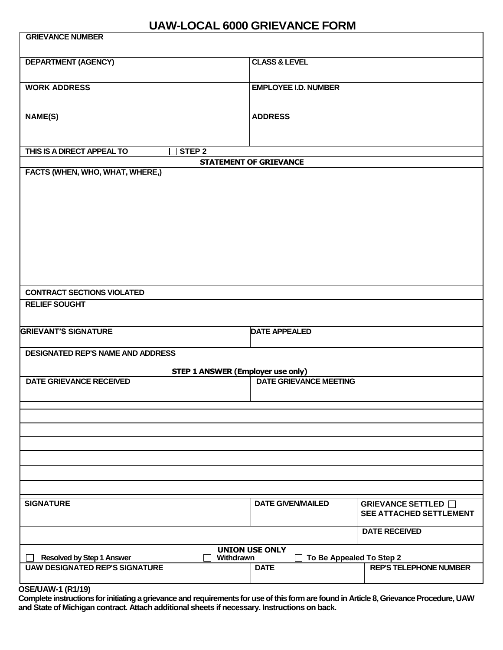## **UAW-LOCAL 6000 GRIEVANCE FORM**

| <b>GRIEVANCE NUMBER</b>                                                   |                               |                                                       |
|---------------------------------------------------------------------------|-------------------------------|-------------------------------------------------------|
| <b>DEPARTMENT (AGENCY)</b>                                                | <b>CLASS &amp; LEVEL</b>      |                                                       |
| <b>WORK ADDRESS</b>                                                       | <b>EMPLOYEE I.D. NUMBER</b>   |                                                       |
| <b>NAME(S)</b>                                                            | <b>ADDRESS</b>                |                                                       |
| THIS IS A DIRECT APPEAL TO<br>STEP <sub>2</sub>                           |                               |                                                       |
| <b>STATEMENT OF GRIEVANCE</b>                                             |                               |                                                       |
| FACTS (WHEN, WHO, WHAT, WHERE,)                                           |                               |                                                       |
|                                                                           |                               |                                                       |
|                                                                           |                               |                                                       |
|                                                                           |                               |                                                       |
|                                                                           |                               |                                                       |
|                                                                           |                               |                                                       |
|                                                                           |                               |                                                       |
|                                                                           |                               |                                                       |
|                                                                           |                               |                                                       |
|                                                                           |                               |                                                       |
| <b>CONTRACT SECTIONS VIOLATED</b>                                         |                               |                                                       |
| <b>RELIEF SOUGHT</b>                                                      |                               |                                                       |
|                                                                           |                               |                                                       |
|                                                                           |                               |                                                       |
| <b>GRIEVANT'S SIGNATURE</b>                                               | <b>DATE APPEALED</b>          |                                                       |
| <b>DESIGNATED REP'S NAME AND ADDRESS</b>                                  |                               |                                                       |
|                                                                           |                               |                                                       |
| <b>STEP 1 ANSWER (Employer use only)</b>                                  |                               |                                                       |
| <b>DATE GRIEVANCE RECEIVED</b>                                            | <b>DATE GRIEVANCE MEETING</b> |                                                       |
|                                                                           |                               |                                                       |
|                                                                           |                               |                                                       |
|                                                                           |                               |                                                       |
|                                                                           |                               |                                                       |
|                                                                           |                               |                                                       |
|                                                                           |                               |                                                       |
|                                                                           |                               |                                                       |
|                                                                           |                               |                                                       |
|                                                                           |                               |                                                       |
| <b>SIGNATURE</b>                                                          | <b>DATE GIVEN/MAILED</b>      | GRIEVANCE SETTLED □<br><b>SEE ATTACHED SETTLEMENT</b> |
|                                                                           |                               | <b>DATE RECEIVED</b>                                  |
| <b>UNION USE ONLY</b><br>Withdrawn<br>To Be Appealed To Step 2            |                               |                                                       |
| <b>Resolved by Step 1 Answer</b><br><b>UAW DESIGNATED REP'S SIGNATURE</b> | <b>DATE</b>                   | <b>REP'S TELEPHONE NUMBER</b>                         |
|                                                                           |                               |                                                       |
|                                                                           |                               |                                                       |

**OSE/UAW-1 (R1/19)**

**Complete instructions for initiating a grievance and requirements for use of this form are found in Article 8, Grievance Procedure, UAW and State of Michigan contract. Attach additional sheets if necessary. Instructions on back.**